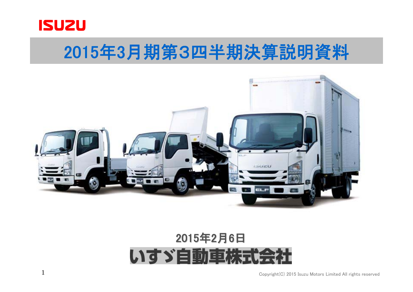

## 2015年3月期第3四半期決算説明資料



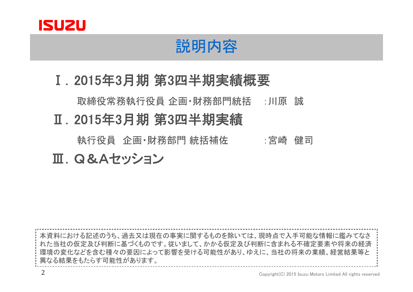

## 説明内容

Ⅰ.2015年3月期 第3四半期実績概要

取締役常務執行役員 企画・財務部門統括 :川原 誠

Ⅱ.2015年3月期 第3四半期実績

執行役員 企画・財務部門 統括補佐 いった 宮崎 健司

Ⅲ.Q&Aセッション

本資料における記述のうち、過去又は現在の事実に関するものを除いては、現時点で入手可能な情報に鑑みてなさ れた当社の仮定及び判断に基づくものです。従いまして、かかる仮定及び判断に含まれる不確定要素や将来の経済 環境の変化などを含む種々の要因によって影響を受ける可能性があり、ゆえに、当社の将来の業績、経営結果等と 異なる結果をもたらす可能性があります。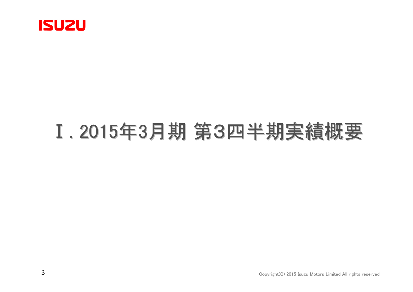

# Ⅰ. 2015年3月期 第3四半期実績概要 第3四半期実績概要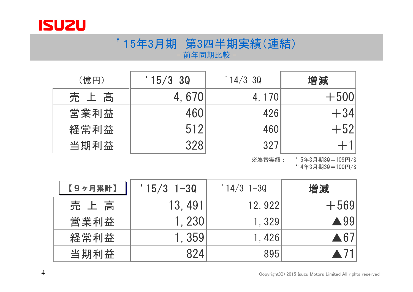

#### '15年3月期 第3四半期実績(連結) - 前年同期比較 -

| (億円) | '15/330 | $14/3$ 30 | 増減     |
|------|---------|-----------|--------|
| 売上高  | 4,670   | 4, 170    | $+500$ |
| 営業利益 | 460     | 426       | $+34$  |
| 経常利益 | 512     | 460       | $+52$  |
| 当期利益 | 328     | 327       |        |

※為替実績: '15年3月期3Q=109円/\$ '14年3月期3Q=100円/\$

| 【9ヶ月累計】 | $'15/3$ 1-30 | $' 14/3 1-30$ | 増減                  |
|---------|--------------|---------------|---------------------|
| 売上高     | 13.491       | 12, 922       | $+569$              |
| 営業利益    | 1.230        | 1.329         | $\triangle$ 99      |
| 経常利益    | 1.359        | 1.426         | $\blacktriangle 67$ |
| 当期利益    | 824          | 895           |                     |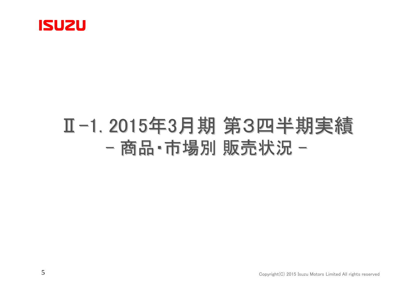

## Ⅱ-1. 2015年3月期 第3四半期実績 -商品・市場別 販売状況 -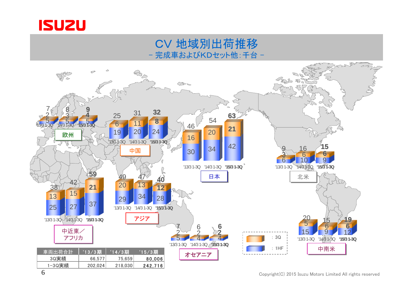

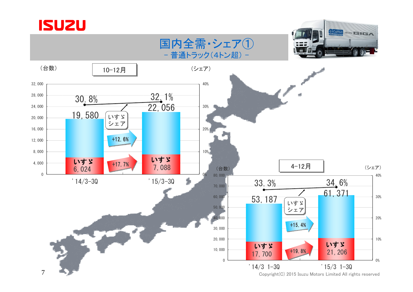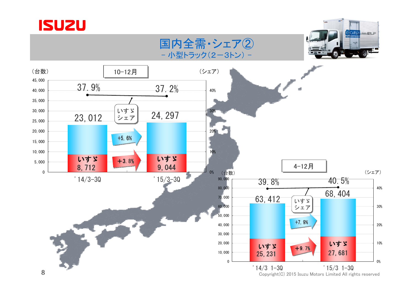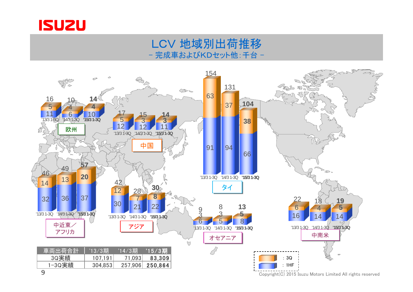

#### LCV 地域別出荷推移 完成車およびKDセット他:千台 -

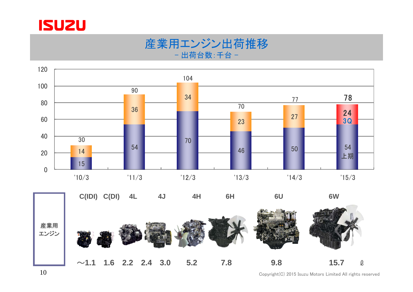

#### 産業用エンジン出荷推移 - 出荷台数:千台 -





Copyright(C) 2015 Isuzu Motors Limited All rights reserved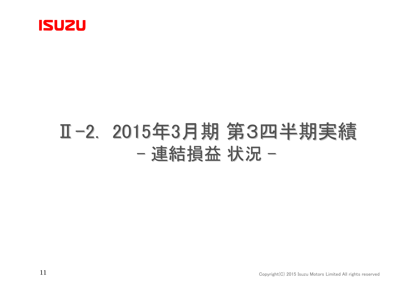

## Ⅱ-2. 2015年3月期 第3四半期実績 -連結損益 状況 -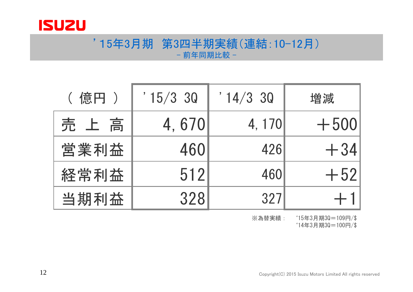

#### '15年3月期 第3四半期実績(連結:10-12月) - 前年同期比較 -

| ( 億円 ) | $15/3$ 30 | $14/3$ 30 | 増減     |
|--------|-----------|-----------|--------|
| 売上高    | 4,670     | 4, 170    | $+500$ |
| 営業利益   | 460       | 426       | $+34$  |
| 経常利益   | 512       | 460       | $+52$  |
| 当期利益   | 328       | 327       |        |

※為替実績: '15年3月期3Q=109円/\$

'14年3月期3Q=100円/\$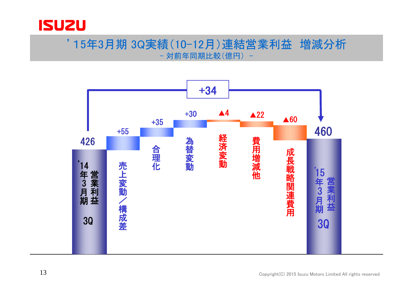

#### '15年3月期 3Q実績(10-12月)連結営業利益 増減分析 - 対前年同期比較(億円) -

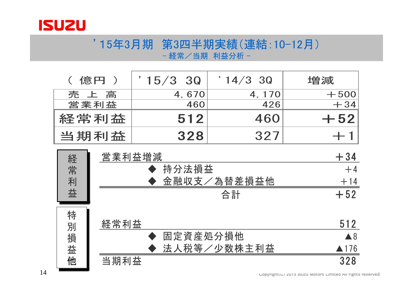

#### '15年3月期 第3四半期実績(連結:10-12月) - 経常/当期 利益分析 -

| ( 億円 ) | $15/3$ 3Q | $14/3$ 30 | 増減     |
|--------|-----------|-----------|--------|
| 売上高    | 4,670     | 4, 170    | $+500$ |
| 営業利益   | 460       | 426       | $+34$  |
| 経常利益   | 512       | 460       | $+52$  |
| 当期利益   | 328       | 327       |        |